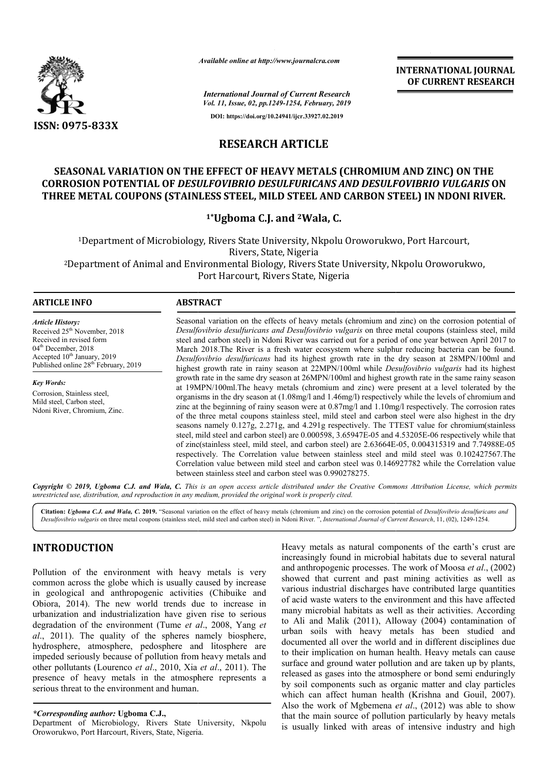

*Available online at http://www.journalcra.com*

**INTERNATIONAL JOURNAL OF CURRENT RESEARCH**

*International Journal of Current Research Vol. 11, Issue, 02, pp.1249-1254, February, 2019*

**DOI: https://doi.org/10.24941/ijcr.33927.02.2019**

# **RESEARCH ARTICLE**

## **SEASONAL VARIATION ON THE EFFECT OF HEAVY METALS (CHROMIUM AND ZINC) ON THE (CHROMIUM AND ZINC) CORROSION POTENTIAL OF** *DESULFOVIBRIO DESULFURICANS AND DESULFOVIBRIO VULGARIS* **ON**  THREE METAL COUPONS (STAINLESS STEEL, MILD STEEL AND CARBON STEEL) IN NDONI RIVER.

## **1\*Ugboma C.J. and 2Wala, C.**

<sup>1</sup>Department of Microbiology, Rivers State University, Nkpolu Oroworukwo, Port Harcourt,<br>Rivers, State, Nigeria <sup>1</sup>Department of Microbiology, Rivers State University, Nkpolu Oroworukwo, Port Harcourt,<br>Rivers, State, Nigeria<br>2Department of Animal and Environmental Biology, Rivers State University, Nkpolu Oroworukwo, Port Harcourt, Rivers State, Nigeria

#### **ARTICLE INFO ABSTRACT**

*Article History:* Received 25<sup>th</sup> November, 2018 Received in revised form 04<sup>th</sup> December, 2018 Accepted 10<sup>th</sup> January, 2019 Published online 28<sup>th</sup> February, 2019

*Key Words:* Corrosion, Stainless steel, Mild steel, Carbon steel, Ndoni River, Chromium, Zinc.

Seasonal variation on the effects of heavy metals (chromium and zinc) on the corrosion potential of Desulfovibrio desulfuricans and Desulfovibrio vulgaris on three metal coupons (stainless steel, mild steel and carbon steel) in Ndoni River was carried out for a period of one year between April 2017 to March 2018.The River is a fresh water ecosystem where sulphur reducing bacteria can be found. *Desulfovibrio desulfuricans* had its highest growth rate in the dry season at 28MPN/100ml and highest growth rate in rainy season at 22MPN/100ml while *Desulfovibrio vulgaris* had its highest growth rate in the same dr dry season at 26MPN/100ml and highest growth rate in the same rainy season at 19MPN/100ml.The heavy metals (chromium and zinc) were present at a level tolerated by the organisms in the dry season at  $(1.08 \text{mg}/\text{l} \text{ and } 1.46 \text{mg}/\text{l})$  respectively while the levels of chromium and zinc at the beginning of rainy season were at 0.87mg/l and 1.10mg/l respectively. The corrosion rates of the three metal coupons stainless steel, mild steel and carbon steel were also highest in the dry seasons namely 0.127g, 2.271g, and 4.291g respectively. The TTEST value for chromium(stainless of the three metal coupons stainless steel, mild steel and carbon steel were also highest in the dry seasons namely 0.127g, 2.271g, and 4.291g respectively. The TTEST value for chromium(stainless steel, mild steel and carb of zinc(stainless steel, mild steel, and carbon steel) are 2.63664E 2.63664E--05, 0.004315319 and 7.74988E-05 respectively. The Correlation value between stainless steel and mild steel was 0.102427567.The respectively. The Correlation value between stainless steel and mild steel was 0.102427567.The Correlation value between mild steel and carbon steel was 0.146927782 while the Correlation value between stainless steel and carbon steel was 0.990278275. Seasonal variation on the effects of heavy metals (chromium and zinc) on the corrosion potential of *Desulfovibrio desulfuricans and Desulfovibrio vulgaris* on three metal coupons (stainless steel, mild steel and carbon st growth rate in the same dry season at 26MPN/100ml and highest growth rate in the same rainy season<br>at 19MPN/100ml.The heavy metals (chromium and zinc) were present at a level tolerated by the<br>organisms in the dry season at

Copyright © 2019, Ugboma C.J. and Wala, C. This is an open access article distributed under the Creative Commons Attribution License, which permits *unrestricted use, distribution, and reproduction in any medium, provided the original work is properly cited.*

Citation: Ugboma C.J. and Wala, C. 2019. "Seasonal variation on the effect of heavy metals (chromium and zinc) on the corrosion potential of Desulfovibrio desulfuricans and Citation: Ugboma C.J. and Wala, C. 2019. "Seasonal variation on the effect of heavy metals (chromium and zinc) on the corrosion potential of Desulfovibrio desulfuriconal Desulfovibrio desulfuriconal Journal of Current Rese

# **INTRODUCTION**

Pollution of the environment with heavy metals is very common across the globe which is usually caused by increase in geological and anthropogenic activities (Chibuike and Obiora, 2014). The new world trends due to increase in urbanization and industrialization have given rise to serious degradation of the environment (Tume *et al* ., 2008, Yang *et al*., 2011). The quality of the spheres namely biosphere, hydrosphere, atmosphere, pedosphere and litosphere are impeded seriously because of pollution from heavy metals and other pollutants (Lourenco *et al*., 2010, Xia *et al*., 2011). The presence of heavy metals in the atmosphere represents a serious threat to the environment and human.

*\*Corresponding author:* **Ugboma C.J.,**

Department of Microbiology, Rivers State University, Nkpolu Oroworukwo, Port Harcourt, Rivers, State, Nigeria Nigeria.

Heavy metals as natural components of the earth's crust are Heavy metals as natural components of the earth's crust are increasingly found in microbial habitats due to several natural and anthropogenic processes. The work of Moosa *et al*., (2002) showed that current and past mining activities as well as various industrial discharges have contributed large quantities of acid waste waters to the environment and this have affected many microbial habitats as well as their activities. According to Ali and Malik (2011), Alloway (2004) contamination of urban soils with heavy metals has been studied and documented all over the world and in different disciplines due to their implication on human health. Heavy metals can cause surface and ground water pollution and are taken up by plants, released as gases into the atmosphere or bond semi enduringly by soil components such as organic matter and clay particles which can affect human health (Krishna and Gouil, 2007). released as gases into the atmosphere or bond semi enduringly<br>by soil components such as organic matter and clay particles<br>which can affect human health (Krishna and Gouil, 2007).<br>Also the work of Mgbemena *et al.*, (2012) that the main source of pollution particularly by heavy metals is usually linked with areas of intensive industry and high backtow word that current and past mining activities as well as rious industrial discharges have contributed large quantities acid waste waters to the environment and this have affected my microbial habitats as well as the soils with heavy metals has been studied and nted all over the world and in different disciplines due implication on human health. Heavy metals can cause and ground water pollution and are taken up by plants, INTERNATIONAL JOURNAL<br>
Research<br>
of CURRENT RESEARCH<br>
Meson of any any and **OF**<br>
CURRENT RESEARCH<br>
CHOMIUM AND ZINC) ON THE<br>
LE<br>
LE<br>
LE<br>
LE<br>
LE<br>
CHOMIUM AND ZINC) ON THE<br>
ALS (CHROMIUM AND ZINC) ON THE<br>
AND ORBENN STEEL) I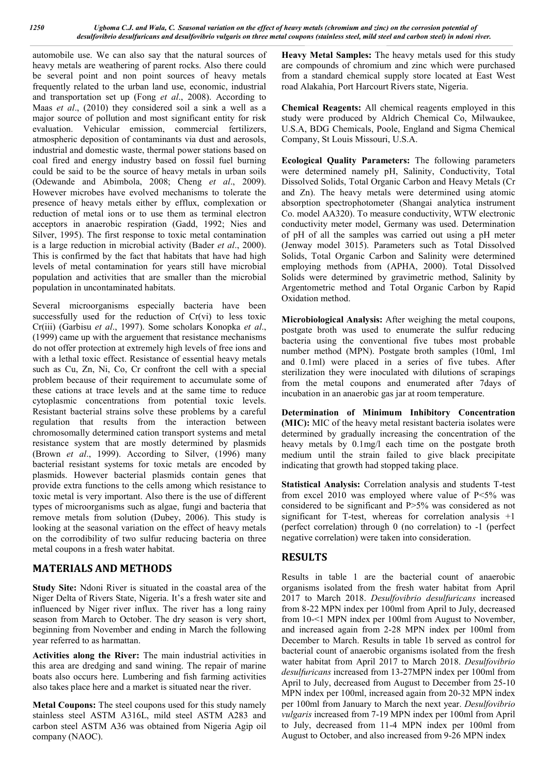automobile use. We can also say that the natural sources of heavy metals are weathering of parent rocks. Also there could be several point and non point sources of heavy metals frequently related to the urban land use, economic, industrial and transportation set up (Fong *et al*., 2008). According to Maas *et al*., (2010) they considered soil a sink a well as a major source of pollution and most significant entity for risk evaluation. Vehicular emission, commercial fertilizers, atmospheric deposition of contaminants via dust and aerosols, industrial and domestic waste, thermal power stations based on coal fired and energy industry based on fossil fuel burning could be said to be the source of heavy metals in urban soils (Odewande and Abimbola, 2008; Cheng *et al*., 2009). However microbes have evolved mechanisms to tolerate the presence of heavy metals either by efflux, complexation or reduction of metal ions or to use them as terminal electron acceptors in anaerobic respiration (Gadd, 1992; Nies and Silver, 1995). The first response to toxic metal contamination is a large reduction in microbial activity (Bader *et al*., 2000). This is confirmed by the fact that habitats that have had high levels of metal contamination for years still have microbial population and activities that are smaller than the microbial population in uncontaminated habitats.

Several microorganisms especially bacteria have been successfully used for the reduction of Cr(vi) to less toxic Cr(iii) (Garbisu *et al*., 1997). Some scholars Konopka *et al*., (1999) came up with the arguement that resistance mechanisms do not offer protection at extremely high levels of free ions and with a lethal toxic effect. Resistance of essential heavy metals such as Cu, Zn, Ni, Co, Cr confront the cell with a special problem because of their requirement to accumulate some of these cations at trace levels and at the same time to reduce cytoplasmic concentrations from potential toxic levels. Resistant bacterial strains solve these problems by a careful regulation that results from the interaction between chromosomally determined cation transport systems and metal resistance system that are mostly determined by plasmids (Brown *et al*., 1999). According to Silver, (1996) many bacterial resistant systems for toxic metals are encoded by plasmids. However bacterial plasmids contain genes that provide extra functions to the cells among which resistance to toxic metal is very important. Also there is the use of different types of microorganisms such as algae, fungi and bacteria that remove metals from solution (Dubey, 2006). This study is looking at the seasonal variation on the effect of heavy metals on the corrodibility of two sulfur reducing bacteria on three metal coupons in a fresh water habitat.

### **MATERIALS AND METHODS**

**Study Site:** Ndoni River is situated in the coastal area of the Niger Delta of Rivers State, Nigeria. It's a fresh water site and influenced by Niger river influx. The river has a long rainy season from March to October. The dry season is very short, beginning from November and ending in March the following year referred to as harmattan.

**Activities along the River:** The main industrial activities in this area are dredging and sand wining. The repair of marine boats also occurs here. Lumbering and fish farming activities also takes place here and a market is situated near the river.

**Metal Coupons:** The steel coupons used for this study namely stainless steel ASTM A316L, mild steel ASTM A283 and carbon steel ASTM A36 was obtained from Nigeria Agip oil company (NAOC).

**Heavy Metal Samples:** The heavy metals used for this study are compounds of chromium and zinc which were purchased from a standard chemical supply store located at East West road Alakahia, Port Harcourt Rivers state, Nigeria.

**Chemical Reagents:** All chemical reagents employed in this study were produced by Aldrich Chemical Co, Milwaukee, U.S.A, BDG Chemicals, Poole, England and Sigma Chemical Company, St Louis Missouri, U.S.A.

**Ecological Quality Parameters:** The following parameters were determined namely pH, Salinity, Conductivity, Total Dissolved Solids, Total Organic Carbon and Heavy Metals (Cr and Zn). The heavy metals were determined using atomic absorption spectrophotometer (Shangai analytica instrument Co. model AA320). To measure conductivity, WTW electronic conductivity meter model, Germany was used. Determination of pH of all the samples was carried out using a pH meter (Jenway model 3015). Parameters such as Total Dissolved Solids, Total Organic Carbon and Salinity were determined employing methods from (APHA, 2000). Total Dissolved Solids were determined by gravimetric method, Salinity by Argentometric method and Total Organic Carbon by Rapid Oxidation method.

**Microbiological Analysis:** After weighing the metal coupons, postgate broth was used to enumerate the sulfur reducing bacteria using the conventional five tubes most probable number method (MPN). Postgate broth samples (10ml, 1ml and 0.1ml) were placed in a series of five tubes. After sterilization they were inoculated with dilutions of scrapings from the metal coupons and enumerated after 7days of incubation in an anaerobic gas jar at room temperature.

**Determination of Minimum Inhibitory Concentration (MIC):** MIC of the heavy metal resistant bacteria isolates were determined by gradually increasing the concentration of the heavy metals by 0.1mg/l each time on the postgate broth medium until the strain failed to give black precipitate indicating that growth had stopped taking place.

**Statistical Analysis:** Correlation analysis and students T-test from excel 2010 was employed where value of P<5% was considered to be significant and P>5% was considered as not significant for T-test, whereas for correlation analysis  $+1$ (perfect correlation) through 0 (no correlation) to -1 (perfect negative correlation) were taken into consideration.

### **RESULTS**

Results in table 1 are the bacterial count of anaerobic organisms isolated from the fresh water habitat from April 2017 to March 2018. *Desulfovibrio desulfuricans* increased from 8-22 MPN index per 100ml from April to July, decreased from 10-<1 MPN index per 100ml from August to November, and increased again from 2-28 MPN index per 100ml from December to March. Results in table 1b served as control for bacterial count of anaerobic organisms isolated from the fresh water habitat from April 2017 to March 2018. *Desulfovibrio desulfuricans* increased from 13-27MPN index per 100ml from April to July, decreased from August to December from 25-10 MPN index per 100ml, increased again from 20-32 MPN index per 100ml from January to March the next year. *Desulfovibrio vulgaris* increased from 7-19 MPN index per 100ml from April to July, decreased from 11-4 MPN index per 100ml from August to October, and also increased from 9-26 MPN index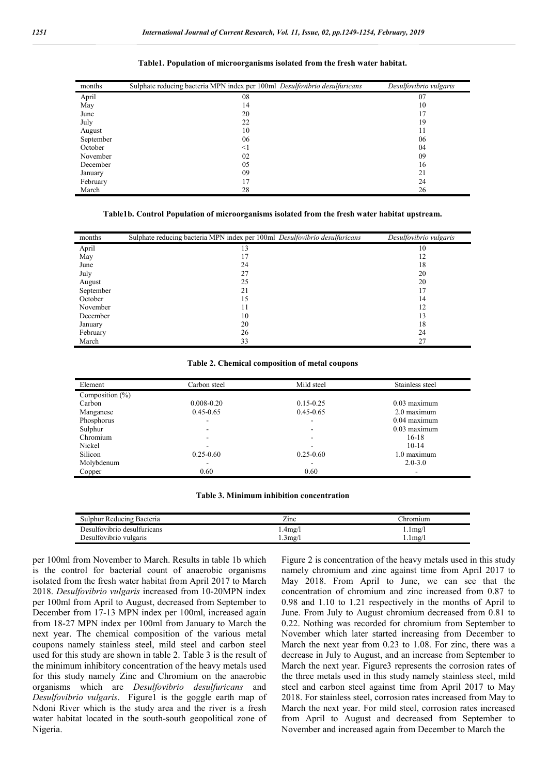| months    | Sulphate reducing bacteria MPN index per 100ml Desulfovibrio desulfuricans | Desulfovibrio vulgaris |
|-----------|----------------------------------------------------------------------------|------------------------|
| April     | 08                                                                         | 07                     |
| May       | 14                                                                         | 10                     |
| June      | 20                                                                         | 17                     |
| July      | 22                                                                         | 19                     |
| August    | 10                                                                         | 11                     |
| September | 06                                                                         | 06                     |
| October   | $\leq$ 1                                                                   | 04                     |
| November  | 02                                                                         | 09                     |
| December  | 05                                                                         | 16                     |
| January   | 09                                                                         | 21                     |
| February  | 17                                                                         | 24                     |
| March     | 28                                                                         | 26                     |

#### **Table1. Population of microorganisms isolated from the fresh water habitat.**

**Table1b. Control Population of microorganisms isolated from the fresh water habitat upstream.**

| months    | Sulphate reducing bacteria MPN index per 100ml Desulfovibrio desulfuricans | Desulfovibrio vulgaris |
|-----------|----------------------------------------------------------------------------|------------------------|
| April     | 13                                                                         | 10                     |
| May       | 17                                                                         | 12                     |
| June      | 24                                                                         | 18                     |
| July      | 27                                                                         | 20                     |
| August    | 25                                                                         | 20                     |
| September | 21                                                                         | 17                     |
| October   | 15                                                                         | 14                     |
| November  | 11                                                                         | 12                     |
| December  | 10                                                                         | 13                     |
| January   | 20                                                                         | 18                     |
| February  | 26                                                                         | 24                     |
| March     | 33                                                                         | 27                     |

#### **Table 2. Chemical composition of metal coupons**

| Element             | Carbon steel   | Mild steel    | Stainless steel |
|---------------------|----------------|---------------|-----------------|
| Composition $(\% )$ |                |               |                 |
| Carbon              | $0.008 - 0.20$ | $0.15 - 0.25$ | $0.03$ maximum  |
| Manganese           | $0.45 - 0.65$  | $0.45 - 0.65$ | 2.0 maximum     |
| Phosphorus          | ۰              | -             | $0.04$ maximum  |
| Sulphur             | ۰              | -             | $0.03$ maximum  |
| Chromium            | ۰              | $\sim$        | $16-18$         |
| Nickel              | ۰              | ۰             | $10-14$         |
| Silicon             | $0.25 - 0.60$  | $0.25 - 0.60$ | 1.0 maximum     |
| Molybdenum          | ۰              |               | $2.0 - 3.0$     |
| Copper              | 0.60           | 0.60          |                 |

| Table 3. Minimum inhibition concentration |  |
|-------------------------------------------|--|
|-------------------------------------------|--|

| Sulphur Reducing Bacteria   | ∠ınc   | :hromuum               |
|-----------------------------|--------|------------------------|
| Desulfovibrio desulfuricans | .4mg/l | $1.1 \text{mg}/1$      |
| Desulfovibrio vulgaris      | 3mg/1  | $1 \text{mg}/\text{m}$ |

per 100ml from November to March. Results in table 1b which is the control for bacterial count of anaerobic organisms isolated from the fresh water habitat from April 2017 to March 2018. *Desulfovibrio vulgaris* increased from 10-20MPN index per 100ml from April to August, decreased from September to December from 17-13 MPN index per 100ml, increased again from 18-27 MPN index per 100ml from January to March the next year. The chemical composition of the various metal coupons namely stainless steel, mild steel and carbon steel used for this study are shown in table 2. Table 3 is the result of the minimum inhibitory concentration of the heavy metals used for this study namely Zinc and Chromium on the anaerobic organisms which are *Desulfovibrio desulfuricans* and *Desulfovibrio vulgaris*. Figure1 is the goggle earth map of Ndoni River which is the study area and the river is a fresh water habitat located in the south-south geopolitical zone of Nigeria.

Figure 2 is concentration of the heavy metals used in this study namely chromium and zinc against time from April 2017 to May 2018. From April to June, we can see that the concentration of chromium and zinc increased from 0.87 to 0.98 and 1.10 to 1.21 respectively in the months of April to June. From July to August chromium decreased from 0.81 to 0.22. Nothing was recorded for chromium from September to November which later started increasing from December to March the next year from 0.23 to 1.08. For zinc, there was a decrease in July to August, and an increase from September to March the next year. Figure3 represents the corrosion rates of the three metals used in this study namely stainless steel, mild steel and carbon steel against time from April 2017 to May 2018. For stainless steel, corrosion rates increased from May to March the next year. For mild steel, corrosion rates increased from April to August and decreased from September to November and increased again from December to March the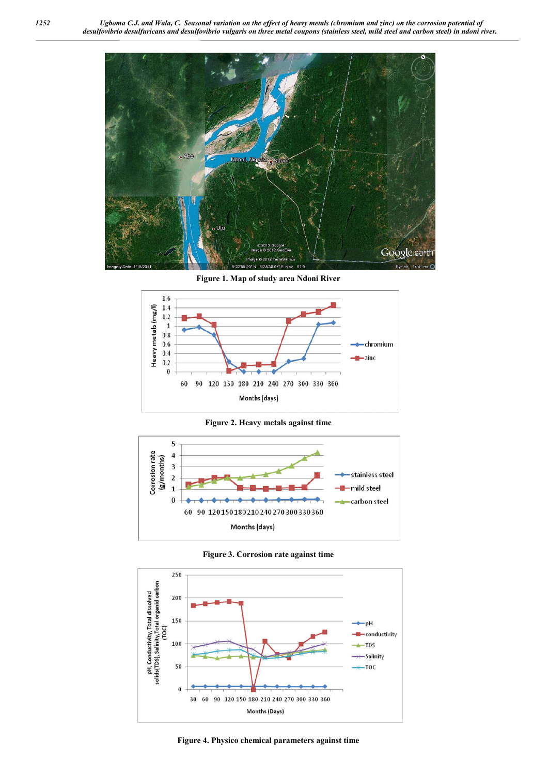

**Figure 1. Map of study area Ndoni River**



**Figure 2. Heavy metals against time**



**Figure 3. Corrosion rate against time**



**Figure 4. Physico chemical parameters against time**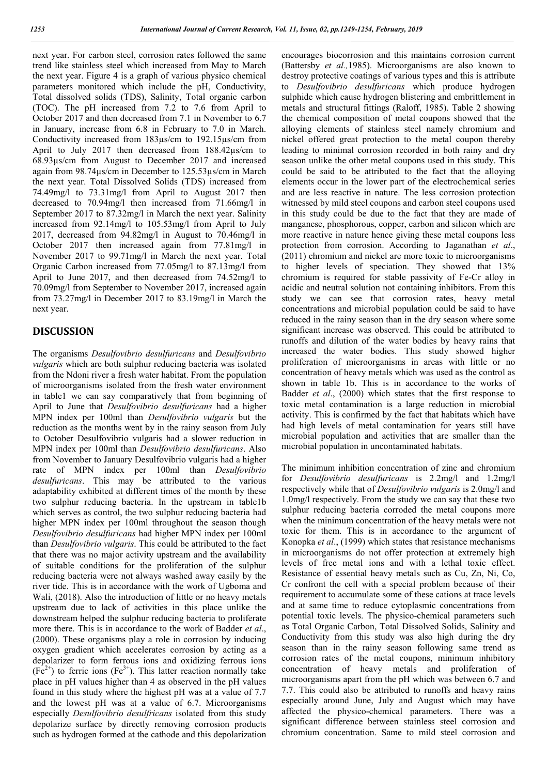next year. For carbon steel, corrosion rates followed the same trend like stainless steel which increased from May to March the next year. Figure 4 is a graph of various physico chemical parameters monitored which include the pH, Conductivity, Total dissolved solids (TDS), Salinity, Total organic carbon (TOC). The pH increased from 7.2 to 7.6 from April to October 2017 and then decreased from 7.1 in November to 6.7 in January, increase from 6.8 in February to 7.0 in March. Conductivity increased from 183µs/cm to 192.15µs/cm from April to July 2017 then decreased from 188.42µs/cm to 68.93µs/cm from August to December 2017 and increased again from 98.74µs/cm in December to 125.53µs/cm in March the next year. Total Dissolved Solids (TDS) increased from 74.49mg/l to 73.31mg/l from April to August 2017 then decreased to 70.94mg/l then increased from 71.66mg/l in September 2017 to 87.32mg/l in March the next year. Salinity increased from 92.14mg/l to 105.53mg/l from April to July 2017, decreased from 94.82mg/l in August to 70.46mg/l in October 2017 then increased again from 77.81mg/l in November 2017 to 99.71mg/l in March the next year. Total Organic Carbon increased from 77.05mg/l to 87.13mg/l from April to June 2017, and then decreased from 74.52mg/l to 70.09mg/l from September to November 2017, increased again from 73.27mg/l in December 2017 to 83.19mg/l in March the next year.

## **DISCUSSION**

The organisms *Desulfovibrio desulfuricans* and *Desulfovibrio vulgaris* which are both sulphur reducing bacteria was isolated from the Ndoni river a fresh water habitat. From the population of microorganisms isolated from the fresh water environment in table1 we can say comparatively that from beginning of April to June that *Desulfovibrio desulfuricans* had a higher MPN index per 100ml than *Desulfovibrio vulgaris* but the reduction as the months went by in the rainy season from July to October Desulfovibrio vulgaris had a slower reduction in MPN index per 100ml than *Desulfovibrio desulfuricans*. Also from November to January Desulfovibrio vulgaris had a higher rate of MPN index per 100ml than *Desulfovibrio desulfuricans*. This may be attributed to the various adaptability exhibited at different times of the month by these two sulphur reducing bacteria. In the upstream in table1b which serves as control, the two sulphur reducing bacteria had higher MPN index per 100ml throughout the season though *Desulfovibrio desulfuricans* had higher MPN index per 100ml than *Desulfovibrio vulgaris*. This could be attributed to the fact that there was no major activity upstream and the availability of suitable conditions for the proliferation of the sulphur reducing bacteria were not always washed away easily by the river tide. This is in accordance with the work of Ugboma and Wali, (2018). Also the introduction of little or no heavy metals upstream due to lack of activities in this place unlike the downstream helped the sulphur reducing bacteria to proliferate more there. This is in accordance to the work of Badder *et al*., (2000). These organisms play a role in corrosion by inducing oxygen gradient which accelerates corrosion by acting as a depolarizer to form ferrous ions and oxidizing ferrous ions  $(Fe^{2+})$  to ferric ions  $(Fe^{3+})$ . This latter reaction normally take place in pH values higher than 4 as observed in the pH values found in this study where the highest pH was at a value of 7.7 and the lowest pH was at a value of 6.7. Microorganisms especially *Desulfovibrio desulfricans* isolated from this study depolarize surface by directly removing corrosion products such as hydrogen formed at the cathode and this depolarization

encourages biocorrosion and this maintains corrosion current (Battersby *et al.,*1985). Microorganisms are also known to destroy protective coatings of various types and this is attribute to *Desulfovibrio desulfuricans* which produce hydrogen sulphide which cause hydrogen blistering and embrittlement in metals and structural fittings (Raloff, 1985). Table 2 showing the chemical composition of metal coupons showed that the alloying elements of stainless steel namely chromium and nickel offered great protection to the metal coupon thereby leading to minimal corrosion recorded in both rainy and dry season unlike the other metal coupons used in this study. This could be said to be attributed to the fact that the alloying elements occur in the lower part of the electrochemical series and are less reactive in nature. The less corrosion protection witnessed by mild steel coupons and carbon steel coupons used in this study could be due to the fact that they are made of manganese, phosphorous, copper, carbon and silicon which are more reactive in nature hence giving these metal coupons less protection from corrosion. According to Jaganathan *et al*., (2011) chromium and nickel are more toxic to microorganisms to higher levels of speciation. They showed that 13% chromium is required for stable passivity of Fe-Cr alloy in acidic and neutral solution not containing inhibitors. From this study we can see that corrosion rates, heavy metal concentrations and microbial population could be said to have reduced in the rainy season than in the dry season where some significant increase was observed. This could be attributed to runoffs and dilution of the water bodies by heavy rains that increased the water bodies. This study showed higher proliferation of microorganisms in areas with little or no concentration of heavy metals which was used as the control as shown in table 1b. This is in accordance to the works of Badder *et al*., (2000) which states that the first response to toxic metal contamination is a large reduction in microbial activity. This is confirmed by the fact that habitats which have had high levels of metal contamination for years still have microbial population and activities that are smaller than the microbial population in uncontaminated habitats.

The minimum inhibition concentration of zinc and chromium for *Desulfovibrio desulfuricans* is 2.2mg/l and 1.2mg/l respectively while that of *Desulfovibrio vulgaris* is 2.0mg/l and 1.0mg/l respectively. From the study we can say that these two sulphur reducing bacteria corroded the metal coupons more when the minimum concentration of the heavy metals were not toxic for them. This is in accordance to the argument of Konopka *et al*., (1999) which states that resistance mechanisms in microorganisms do not offer protection at extremely high levels of free metal ions and with a lethal toxic effect. Resistance of essential heavy metals such as Cu, Zn, Ni, Co, Cr confront the cell with a special problem because of their requirement to accumulate some of these cations at trace levels and at same time to reduce cytoplasmic concentrations from potential toxic levels. The physico-chemical parameters such as Total Organic Carbon, Total Dissolved Solids, Salinity and Conductivity from this study was also high during the dry season than in the rainy season following same trend as corrosion rates of the metal coupons, minimum inhibitory concentration of heavy metals and proliferation of microorganisms apart from the pH which was between 6.7 and 7.7. This could also be attributed to runoffs and heavy rains especially around June, July and August which may have affected the physico-chemical parameters. There was a significant difference between stainless steel corrosion and chromium concentration. Same to mild steel corrosion and